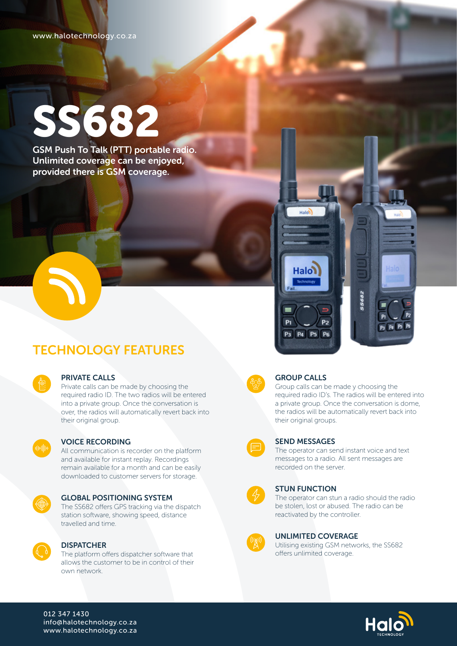www.halotechnology.co.za

# SS682

GSM Push To Talk (PTT) portable radio. Unlimited coverage can be enjoyed, provided there is GSM coverage.

## TECHNOLOGY FEATURES

| e                                                   |
|-----------------------------------------------------|
| ł<br>٠<br>٠<br>٠<br>ï<br>٠<br>٠<br>٠<br>٠<br>٠<br>٠ |
|                                                     |

#### PRIVATE CALLS

Private calls can be made by choosing the required radio ID. The two radios will be entered into a private group. Once the conversation is over, the radios will automatically revert back into their original group.



#### VOICE RECORDING

All communication is recorder on the platform and available for instant replay. Recordings remain available for a month and can be easily downloaded to customer servers for storage.



#### GLOBAL POSITIONING SYSTEM

The SS682 offers GPS tracking via the dispatch station software, showing speed, distance travelled and time.



#### **DISPATCHER**

The platform offers dispatcher software that allows the customer to be in control of their own network.



#### GROUP CALLS

P<sub>3</sub> P<sub>4</sub> P<sub>5</sub> P<sub>6</sub>

P<sub>2</sub>

Halon

Group calls can be made y choosing the required radio ID's. The radios will be entered into a private group. Once the conversation is dome, the radios will be automatically revert back into their original groups.

P3 P4 P5 P



#### SEND MESSAGES

The operator can send instant voice and text messages to a radio. All sent messages are recorded on the server.



#### STUN FUNCTION

The operator can stun a radio should the radio be stolen, lost or abused. The radio can be reactivated by the controller.



#### UNLIMITED COVERAGE

Utilising existing GSM networks, the SS682 offers unlimited coverage.



#### 012 347 1430 info@halotechnology.co.za www.halotechnology.co.za